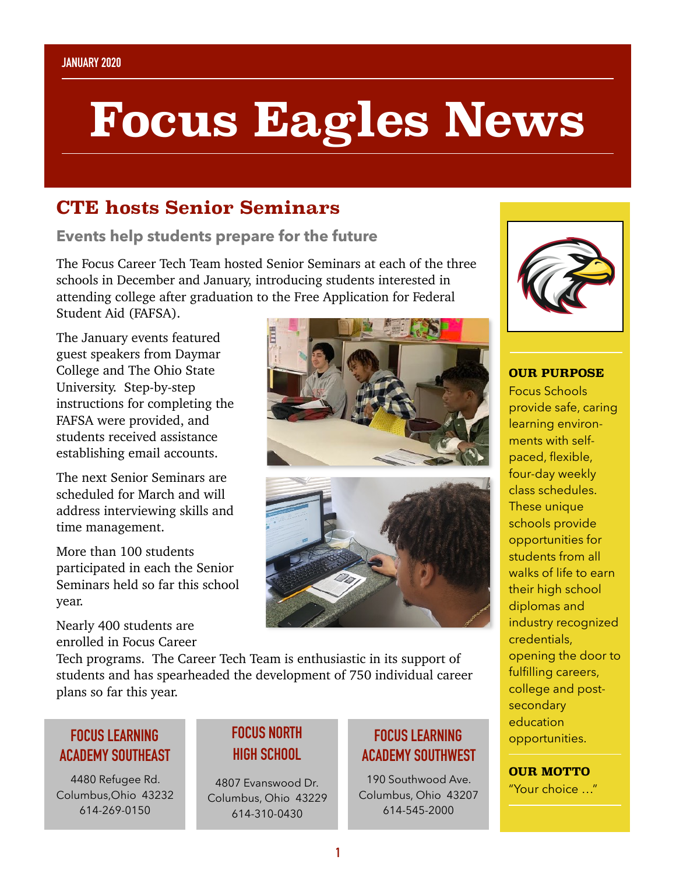# **Focus Eagles News**

## **CTE hosts Senior Seminars**

**Events help students prepare for the future** 

The Focus Career Tech Team hosted Senior Seminars at each of the three schools in December and January, introducing students interested in attending college after graduation to the Free Application for Federal Student Aid (FAFSA).

The January events featured guest speakers from Daymar College and The Ohio State University. Step-by-step instructions for completing the FAFSA were provided, and students received assistance establishing email accounts.

The next Senior Seminars are scheduled for March and will address interviewing skills and time management.

More than 100 students participated in each the Senior Seminars held so far this school year.

Nearly 400 students are enrolled in Focus Career



Tech programs. The Career Tech Team is enthusiastic in its support of students and has spearheaded the development of 750 individual career plans so far this year.

#### **FOCUS LEARNING ACADEMY SOUTHEAST**

4480 Refugee Rd. Columbus,Ohio 43232 614-269-0150

### **FOCUS NORTH HIGH SCHOOL**

4807 Evanswood Dr. Columbus, Ohio 43229 614-310-0430

#### **FOCUS LEARNING ACADEMY SOUTHWEST**

190 Southwood Ave. Columbus, Ohio 43207 614-545-2000



**OUR PURPOSE**  Focus Schools provide safe, caring learning environments with selfpaced, flexible, four-day weekly class schedules. These unique schools provide opportunities for students from all walks of life to earn their high school diplomas and industry recognized credentials, opening the door to fulfilling careers, college and postsecondary education opportunities.

#### **OUR MOTTO**

"Your choice …"